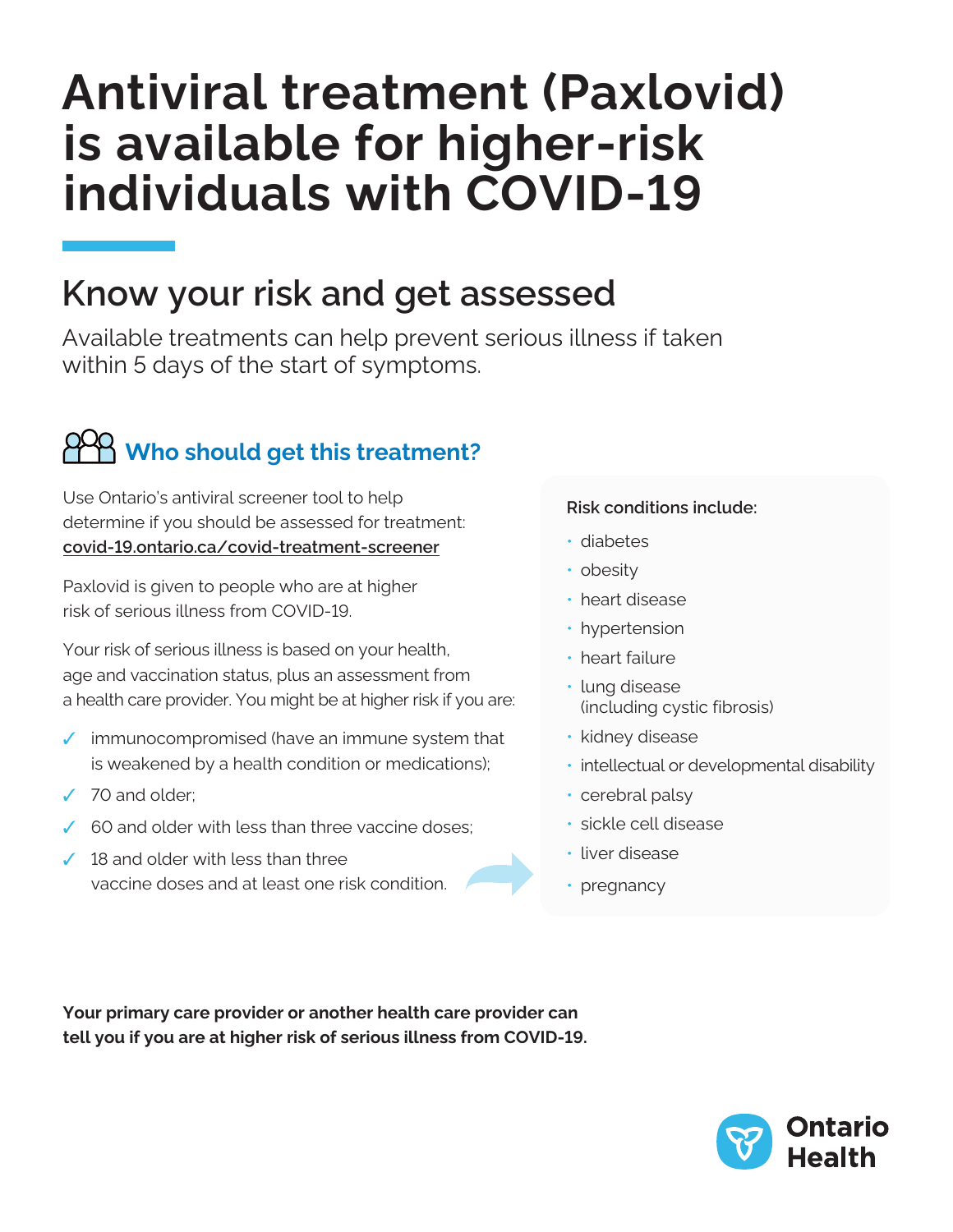# **Antiviral treatment (Paxlovid) is available for higher-risk individuals with COVID-19**

## **Know your risk and get assessed**

Available treatments can help prevent serious illness if taken within 5 days of the start of symptoms.

## **Who should get this treatment?**

Use Ontario's antiviral screener tool to help determine if you should be assessed for treatment: **[covid-19.ontario.ca/covid-treatment-screener](https://covid-19.ontario.ca/covid-treatment-screener)**

Paxlovid is given to people who are at higher risk of serious illness from COVID-19.

Your risk of serious illness is based on your health, age and vaccination status, plus an assessment from a health care provider. You might be at higher risk if you are:

- $\checkmark$  immunocompromised (have an immune system that is weakened by a health condition or medications);
- ✓ 70 and older;
- 60 and older with less than three vaccine doses;
- $\angle$  18 and older with less than three vaccine doses and at least one risk condition.

### **Risk conditions include:**

- diabetes
- obesity
- heart disease
- hypertension
- heart failure
- lung disease (including cystic fibrosis)
- kidney disease
- intellectual or developmental disability
- cerebral palsy
- sickle cell disease
- liver disease
- pregnancy

**Your primary care provider or another health care provider can tell you if you are at higher risk of serious illness from COVID-19.**